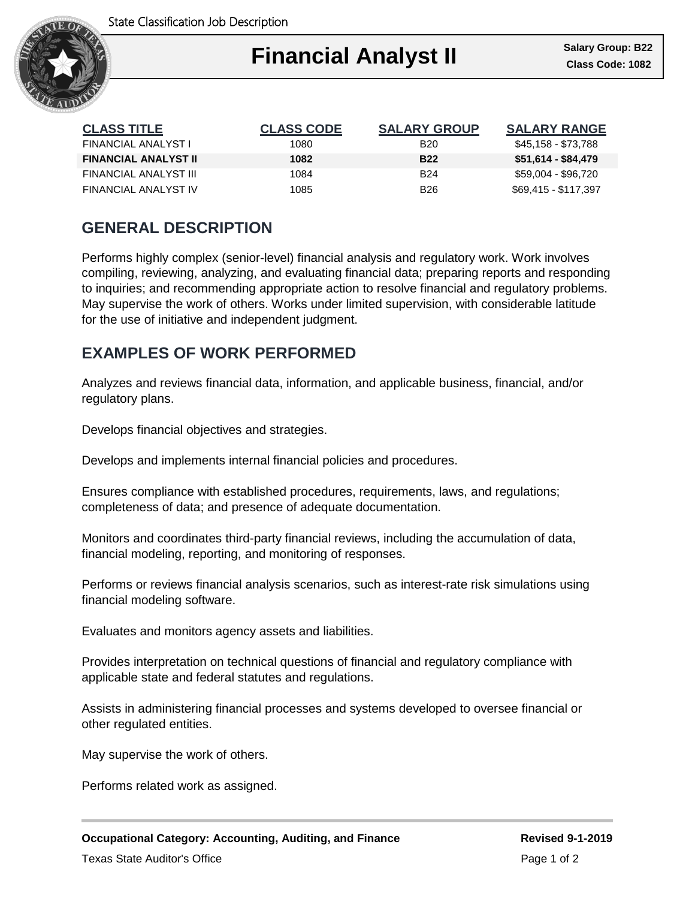State Classification Job Description



| <b>CLASS TITLE</b>          | <b>CLASS CODE</b> | <b>SALARY GROUP</b> | <b>SALARY RANGE</b>  |
|-----------------------------|-------------------|---------------------|----------------------|
| FINANCIAL ANALYST I         | 1080              | <b>B20</b>          | \$45,158 - \$73,788  |
| <b>FINANCIAL ANALYST II</b> | 1082              | <b>B22</b>          | $$51,614 - $84,479$  |
| FINANCIAL ANALYST III       | 1084              | <b>B24</b>          | \$59.004 - \$96.720  |
| FINANCIAL ANALYST IV        | 1085              | <b>B26</b>          | \$69.415 - \$117.397 |

# **GENERAL DESCRIPTION**

Performs highly complex (senior-level) financial analysis and regulatory work. Work involves compiling, reviewing, analyzing, and evaluating financial data; preparing reports and responding to inquiries; and recommending appropriate action to resolve financial and regulatory problems. May supervise the work of others. Works under limited supervision, with considerable latitude for the use of initiative and independent judgment.

# **EXAMPLES OF WORK PERFORMED**

Analyzes and reviews financial data, information, and applicable business, financial, and/or regulatory plans.

Develops financial objectives and strategies.

Develops and implements internal financial policies and procedures.

Ensures compliance with established procedures, requirements, laws, and regulations; completeness of data; and presence of adequate documentation.

Monitors and coordinates third-party financial reviews, including the accumulation of data, financial modeling, reporting, and monitoring of responses.

Performs or reviews financial analysis scenarios, such as interest-rate risk simulations using financial modeling software.

Evaluates and monitors agency assets and liabilities.

Provides interpretation on technical questions of financial and regulatory compliance with applicable state and federal statutes and regulations.

Assists in administering financial processes and systems developed to oversee financial or other regulated entities.

May supervise the work of others.

Performs related work as assigned.